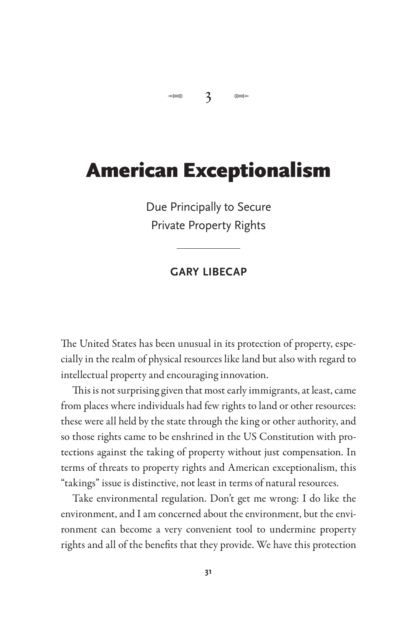$\Longleftrightarrow$  $3 \qquad \Leftrightarrow$ 

## American Exceptionalism

Due Principally to Secure Private Property Rights

## **GARY LIBECAP**

The United States has been unusual in its protection of property, especially in the realm of physical resources like land but also with regard to intellectual property and encouraging innovation.

This is not surprising given that most early immigrants, at least, came from places where individuals had few rights to land or other resources: these were all held by the state through the king or other authority, and so those rights came to be enshrined in the US Constitution with protections against the taking of property without just compensation. In terms of threats to property rights and American exceptionalism, this "takings" issue is distinctive, not least in terms of natural resources.

Take environmental regulation. Don't get me wrong: I do like the environment, and I am concerned about the environment, but the environment can become a very convenient tool to undermine property rights and all of the benefits that they provide. We have this protection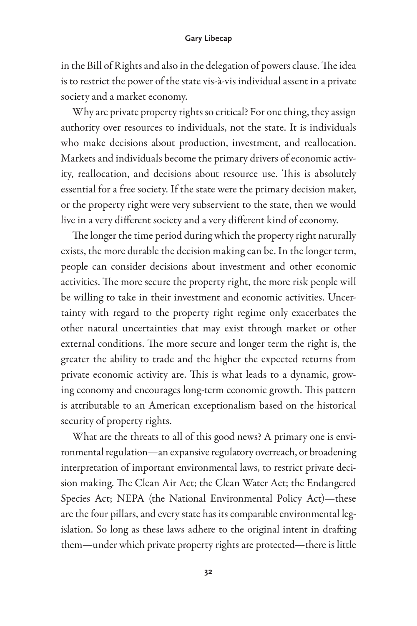## **Gary Libecap**

in the Bill of Rights and also in the delegation of powers clause. The idea is to restrict the power of the state vis-à-vis individual assent in a private society and a market economy.

Why are private property rights so critical? For one thing, they assign authority over resources to individuals, not the state. It is individuals who make decisions about production, investment, and reallocation. Markets and individuals become the primary drivers of economic activity, reallocation, and decisions about resource use. This is absolutely essential for a free society. If the state were the primary decision maker, or the property right were very subservient to the state, then we would live in a very different society and a very different kind of economy.

The longer the time period during which the property right naturally exists, the more durable the decision making can be. In the longer term, people can consider decisions about investment and other economic activities. The more secure the property right, the more risk people will be willing to take in their investment and economic activities. Uncertainty with regard to the property right regime only exacerbates the other natural uncertainties that may exist through market or other external conditions. The more secure and longer term the right is, the greater the ability to trade and the higher the expected returns from private economic activity are. This is what leads to a dynamic, growing economy and encourages long-term economic growth. This pattern is attributable to an American exceptionalism based on the historical security of property rights.

What are the threats to all of this good news? A primary one is environmental regulation—an expansive regulatory overreach, or broadening interpretation of important environmental laws, to restrict private decision making. The Clean Air Act; the Clean Water Act; the Endangered Species Act; NEPA (the National Environmental Policy Act)—these are the four pillars, and every state has its comparable environmental legislation. So long as these laws adhere to the original intent in drafting them—under which private property rights are protected—there is little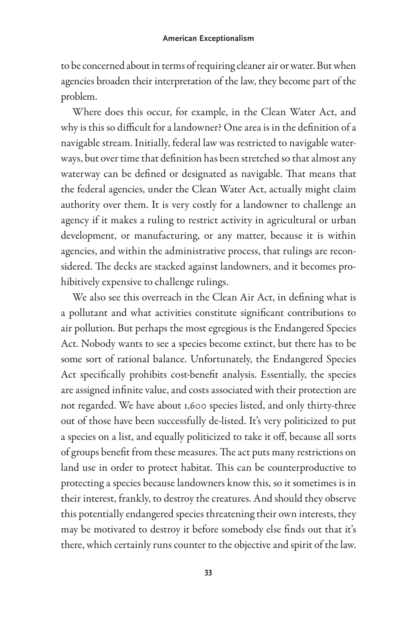to be concerned about in terms of requiring cleaner air or water. But when agencies broaden their interpretation of the law, they become part of the problem.

Where does this occur, for example, in the Clean Water Act, and why is this so difficult for a landowner? One area is in the definition of a navigable stream. Initially, federal law was restricted to navigable waterways, but over time that definition has been stretched so that almost any waterway can be defined or designated as navigable. That means that the federal agencies, under the Clean Water Act, actually might claim authority over them. It is very costly for a landowner to challenge an agency if it makes a ruling to restrict activity in agricultural or urban development, or manufacturing, or any matter, because it is within agencies, and within the administrative process, that rulings are reconsidered. The decks are stacked against landowners, and it becomes prohibitively expensive to challenge rulings.

We also see this overreach in the Clean Air Act, in defining what is a pollutant and what activities constitute significant contributions to air pollution. But perhaps the most egregious is the Endangered Species Act. Nobody wants to see a species become extinct, but there has to be some sort of rational balance. Unfortunately, the Endangered Species Act specifically prohibits cost-benefit analysis. Essentially, the species are assigned infinite value, and costs associated with their protection are not regarded. We have about 1,600 species listed, and only thirty-three out of those have been successfully de- listed. It's very politicized to put a species on a list, and equally politicized to take it off, because all sorts of groups benefit from these measures. The act puts many restrictions on land use in order to protect habitat. This can be counterproductive to protecting a species because landowners know this, so it sometimes is in their interest, frankly, to destroy the creatures. And should they observe this potentially endangered species threatening their own interests, they may be motivated to destroy it before somebody else finds out that it's there, which certainly runs counter to the objective and spirit of the law.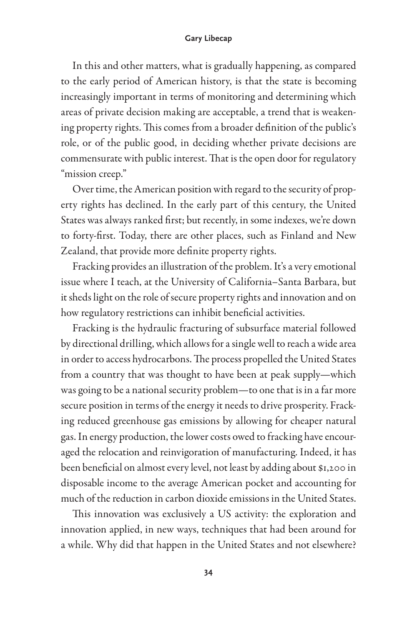## **Gary Libecap**

In this and other matters, what is gradually happening, as compared to the early period of American history, is that the state is becoming increasingly important in terms of monitoring and determining which areas of private decision making are acceptable, a trend that is weakening property rights. This comes from a broader definition of the public's role, or of the public good, in deciding whether private decisions are commensurate with public interest. That is the open door for regulatory "mission creep."

Over time, the American position with regard to the security of property rights has declined. In the early part of this century, the United States was always ranked first; but recently, in some indexes, we're down to forty-first. Today, there are other places, such as Finland and New Zealand, that provide more definite property rights.

Fracking provides an illustration of the problem. It's a very emotional issue where I teach, at the University of California–Santa Barbara, but it sheds light on the role of secure property rights and innovation and on how regulatory restrictions can inhibit beneficial activities.

Fracking is the hydraulic fracturing of subsurface material followed by directional drilling, which allows for a single well to reach a wide area in order to access hydrocarbons. The process propelled the United States from a country that was thought to have been at peak supply—which was going to be a national security problem—to one that is in a far more secure position in terms of the energy it needs to drive prosperity. Fracking reduced greenhouse gas emissions by allowing for cheaper natural gas. In energy production, the lower costs owed to fracking have encouraged the relocation and reinvigoration of manufacturing. Indeed, it has been beneficial on almost every level, not least by adding about \$1,200 in disposable income to the average American pocket and accounting for much of the reduction in carbon dioxide emissions in the United States.

This innovation was exclusively a US activity: the exploration and innovation applied, in new ways, techniques that had been around for a while. Why did that happen in the United States and not elsewhere?